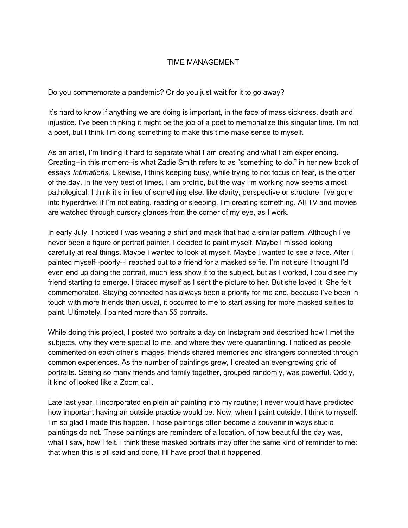## TIME MANAGEMENT

Do you commemorate a pandemic? Or do you just wait for it to go away?

It's hard to know if anything we are doing is important, in the face of mass sickness, death and injustice. I've been thinking it might be the job of a poet to memorialize this singular time. I'm not a poet, but I think I'm doing something to make this time make sense to myself.

As an artist, I'm finding it hard to separate what I am creating and what I am experiencing. Creating--in this moment--is what Zadie Smith refers to as "something to do," in her new book of essays *Intimations*. Likewise, I think keeping busy, while trying to not focus on fear, is the order of the day. In the very best of times, I am prolific, but the way I'm working now seems almost pathological. I think it's in lieu of something else, like clarity, perspective or structure. I've gone into hyperdrive; if I'm not eating, reading or sleeping, I'm creating something. All TV and movies are watched through cursory glances from the corner of my eye, as I work.

In early July, I noticed I was wearing a shirt and mask that had a similar pattern. Although I've never been a figure or portrait painter, I decided to paint myself. Maybe I missed looking carefully at real things. Maybe I wanted to look at myself. Maybe I wanted to see a face. After I painted myself--poorly--I reached out to a friend for a masked selfie. I'm not sure I thought I'd even end up doing the portrait, much less show it to the subject, but as I worked, I could see my friend starting to emerge. I braced myself as I sent the picture to her. But she loved it. She felt commemorated. Staying connected has always been a priority for me and, because I've been in touch with more friends than usual, it occurred to me to start asking for more masked selfies to paint. Ultimately, I painted more than 55 portraits.

While doing this project, I posted two portraits a day on Instagram and described how I met the subjects, why they were special to me, and where they were quarantining. I noticed as people commented on each other's images, friends shared memories and strangers connected through common experiences. As the number of paintings grew, I created an ever-growing grid of portraits. Seeing so many friends and family together, grouped randomly, was powerful. Oddly, it kind of looked like a Zoom call.

Late last year, I incorporated en plein air painting into my routine; I never would have predicted how important having an outside practice would be. Now, when I paint outside, I think to myself: I'm so glad I made this happen. Those paintings often become a souvenir in ways studio paintings do not. These paintings are reminders of a location, of how beautiful the day was, what I saw, how I felt. I think these masked portraits may offer the same kind of reminder to me: that when this is all said and done, I'll have proof that it happened.